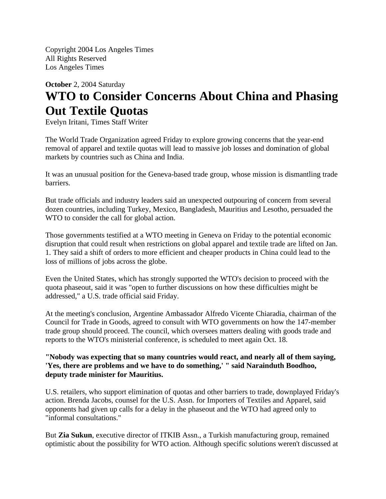Copyright 2004 Los Angeles Times All Rights Reserved Los Angeles Times

## **October** 2, 2004 Saturday **WTO to Consider Concerns About China and Phasing Out Textile Quotas**

Evelyn Iritani, Times Staff Writer

The World Trade Organization agreed Friday to explore growing concerns that the year-end removal of apparel and textile quotas will lead to massive job losses and domination of global markets by countries such as China and India.

It was an unusual position for the Geneva-based trade group, whose mission is dismantling trade barriers.

But trade officials and industry leaders said an unexpected outpouring of concern from several dozen countries, including Turkey, Mexico, Bangladesh, Mauritius and Lesotho, persuaded the WTO to consider the call for global action.

Those governments testified at a WTO meeting in Geneva on Friday to the potential economic disruption that could result when restrictions on global apparel and textile trade are lifted on Jan. 1. They said a shift of orders to more efficient and cheaper products in China could lead to the loss of millions of jobs across the globe.

Even the United States, which has strongly supported the WTO's decision to proceed with the quota phaseout, said it was "open to further discussions on how these difficulties might be addressed," a U.S. trade official said Friday.

At the meeting's conclusion, Argentine Ambassador Alfredo Vicente Chiaradia, chairman of the Council for Trade in Goods, agreed to consult with WTO governments on how the 147-member trade group should proceed. The council, which oversees matters dealing with goods trade and reports to the WTO's ministerial conference, is scheduled to meet again Oct. 18.

**"Nobody was expecting that so many countries would react, and nearly all of them saying, 'Yes, there are problems and we have to do something,' " said Narainduth Boodhoo, deputy trade minister for Mauritius.**

U.S. retailers, who support elimination of quotas and other barriers to trade, downplayed Friday's action. Brenda Jacobs, counsel for the U.S. Assn. for Importers of Textiles and Apparel, said opponents had given up calls for a delay in the phaseout and the WTO had agreed only to "informal consultations."

But **Zia Sukun**, executive director of ITKIB Assn., a Turkish manufacturing group, remained optimistic about the possibility for WTO action. Although specific solutions weren't discussed at